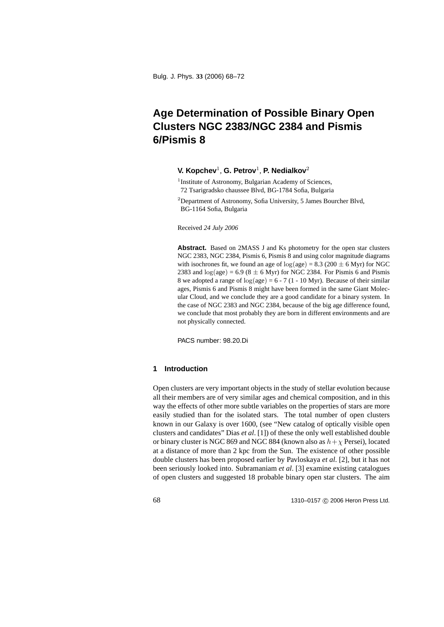# **Age Determination of Possible Binary Open Clusters NGC 2383/NGC 2384 and Pismis 6/Pismis 8**

## **V. Kopchev**<sup>1</sup>, **G. Petrov**<sup>1</sup>, **P. Nedialkov**<sup>2</sup>

- <sup>1</sup>Institute of Astronomy, Bulgarian Academy of Sciences, 72 Tsarigradsko chaussee Blvd, BG-1784 Sofia, Bulgaria
- <sup>2</sup>Department of Astronomy, Sofia University, 5 James Bourcher Blvd, BG-1164 Sofia, Bulgaria

Received *24 July 2006*

**Abstract.** Based on 2MASS J and Ks photometry for the open star clusters NGC 2383, NGC 2384, Pismis 6, Pismis 8 and using color magnitude diagrams with isochrones fit, we found an age of  $log(age) = 8.3 (200 \pm 6$  Myr) for NGC 2383 and  $log(age) = 6.9 (8 \pm 6$  Myr) for NGC 2384. For Pismis 6 and Pismis 8 we adopted a range of  $log(age) = 6 - 7 (1 - 10 Myr)$ . Because of their similar ages, Pismis 6 and Pismis 8 might have been formed in the same Giant Molecular Cloud, and we conclude they are a good candidate for a binary system. In the case of NGC 2383 and NGC 2384, because of the big age difference found, we conclude that most probably they are born in different environments and are not physically connected.

PACS number: 98.20.Di

## **1 Introduction**

Open clusters are very important objects in the study of stellar evolution because all their members are of very similar ages and chemical composition, and in this way the effects of other more subtle variables on the properties of stars are more easily studied than for the isolated stars. The total number of open clusters known in our Galaxy is over 1600, (see "New catalog of optically visible open clusters and candidates" Dias *et al*. [1]) of these the only well established double or binary cluster is NGC 869 and NGC 884 (known also as  $h + \chi$  Persei), located at a distance of more than 2 kpc from the Sun. The existence of other possible double clusters has been proposed earlier by Pavloskaya *et al*. [2], but it has not been seriously looked into. Subramaniam *et al*. [3] examine existing catalogues of open clusters and suggested 18 probable binary open star clusters. The aim

68 1310–0157 © 2006 Heron Press Ltd.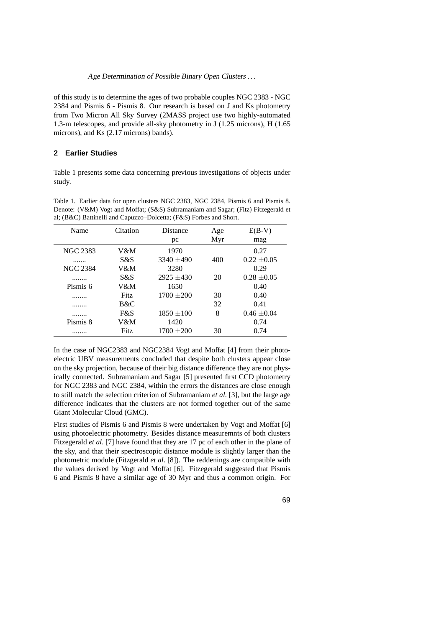#### Age Determination of Possible Binary Open Clusters ...

of this study is to determine the ages of two probable couples NGC 2383 - NGC 2384 and Pismis 6 - Pismis 8. Our research is based on J and Ks photometry from Two Micron All Sky Survey (2MASS project use two highly-automated 1.3-m telescopes, and provide all-sky photometry in J (1.25 microns), H (1.65 microns), and Ks (2.17 microns) bands).

# **2 Earlier Studies**

Table 1 presents some data concerning previous investigations of objects under study.

|  |  | Table 1. Earlier data for open clusters NGC 2383, NGC 2384, Pismis 6 and Pismis 8. |  |  |  |  |
|--|--|------------------------------------------------------------------------------------|--|--|--|--|
|  |  | Denote: (V&M) Vogt and Moffat; (S&S) Subramaniam and Sagar; (Fitz) Fitzegerald et  |  |  |  |  |
|  |  | al: $(B&C)$ Battinelli and Capuzzo–Dolcetta: $(F&S)$ Forbes and Short.             |  |  |  |  |

| Name            | Citation    | Distance       | Age | $E(B-V)$        |  |  |
|-----------------|-------------|----------------|-----|-----------------|--|--|
|                 |             | pc             | Myr | mag             |  |  |
| NGC 2383        | V&M         | 1970           |     | 0.27            |  |  |
| .               | S&S         | $3340 + 490$   | 400 | $0.22 \pm 0.05$ |  |  |
| <b>NGC 2384</b> | V&M         | 3280           |     | 0.29            |  |  |
|                 | S&S         | $2925 + 430$   | 20  | $0.28 \pm 0.05$ |  |  |
| Pismis 6        | V&M         | 1650           |     | 0.40            |  |  |
|                 | <b>Fitz</b> | $1700 + 200$   | 30  | 0.40            |  |  |
| .               | B&C         |                | 32  | 0.41            |  |  |
|                 | F&S         | $1850 \pm 100$ | 8   | $0.46 \pm 0.04$ |  |  |
| Pismis 8        | V&M         | 1420           |     | 0.74            |  |  |
|                 | <b>Fitz</b> | $1700 + 200$   | 30  | 0.74            |  |  |

In the case of NGC2383 and NGC2384 Vogt and Moffat [4] from their photoelectric UBV measurements concluded that despite both clusters appear close on the sky projection, because of their big distance difference they are not physically connected. Subramaniam and Sagar [5] presented first CCD photometry for NGC 2383 and NGC 2384, within the errors the distances are close enough to still match the selection criterion of Subramaniam *et al.* [3], but the large age difference indicates that the clusters are not formed together out of the same Giant Molecular Cloud (GMC).

First studies of Pismis 6 and Pismis 8 were undertaken by Vogt and Moffat [6] using photoelectric photometry. Besides distance measuremnts of both clusters Fitzegerald *et al*. [7] have found that they are 17 pc of each other in the plane of the sky, and that their spectroscopic distance module is slightly larger than the photometric module (Fitzgerald *et al*. [8]). The reddenings are compatible with the values derived by Vogt and Moffat [6]. Fitzegerald suggested that Pismis 6 and Pismis 8 have a similar age of 30 Myr and thus a common origin. For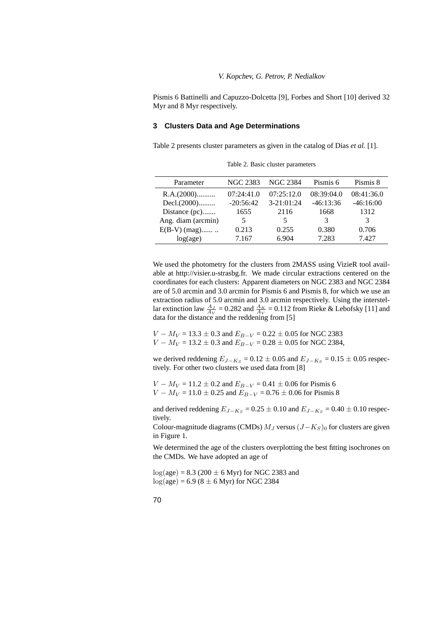Pismis 6 Battinelli and Capuzzo-Dolcetta [9], Forbes and Short [10] derived 32 Myr and 8 Myr respectively.

# **3 Clusters Data and Age Determinations**

Table 2 presents cluster parameters as given in the catalog of Dias *et al.* [1].

| Parameter          | NGC 2383    | <b>NGC 2384</b> | Pismis 6    | Pismis 8    |
|--------------------|-------------|-----------------|-------------|-------------|
| R.A.(2000)         | 07:24:41.0  | 07:25:12.0      | 08:39:04.0  | 08:41:36.0  |
| Decl.(2000)        | $-20:56:42$ | $3 - 21:01:24$  | $-46:13:36$ | $-46:16:00$ |
| Distance (pc)      | 1655        | 2116            | 1668        | 1312        |
| Ang. diam (arcmin) | 5           | 5               | 3           | 3           |
| $E(B-V)$ (mag)     | 0.213       | 0.255           | 0.380       | 0.706       |
| log(age)           | 7.167       | 6.904           | 7.283       | 7.427       |
|                    |             |                 |             |             |

Table 2. Basic cluster parameters

We used the photometry for the clusters from 2MASS using VizieR tool available at http://visier.u-strasbg.fr. We made circular extractions centered on the coordinates for each clusters: Apparent diameters on NGC 2383 and NGC 2384 are of 5.0 arcmin and 3.0 arcmin for Pismis 6 and Pismis 8, for which we use an extraction radius of 5.0 arcmin and 3.0 arcmin respectively. Using the interstellar extinction law  $\frac{A_J}{A_V}$  = 0.282 and  $\frac{A_K}{A_V}$  = 0.112 from Rieke & Lebofsky [11] and data for the distance and the reddening from [5]

 $V - M_V = 13.3 \pm 0.3$  and  $E_{B-V} = 0.22 \pm 0.05$  for NGC 2383  $V - M_V = 13.2 \pm 0.3$  and  $E_{B-V} = 0.28 \pm 0.05$  for NGC 2384,

we derived reddening  $E_{J-Ks} = 0.12 \pm 0.05$  and  $E_{J-Ks} = 0.15 \pm 0.05$  respectively. For other two clusters we used data from [8]

 $V - M_V = 11.2 \pm 0.2$  and  $E_{B-V} = 0.41 \pm 0.06$  for Pismis 6  $V - M_V = 11.0 \pm 0.25$  and  $E_{B-V} = 0.76 \pm 0.06$  for Pismis 8

and derived reddening  $E_{J-K_S}$  = 0.25 ± 0.10 and  $E_{J-K_S}$  = 0.40 ± 0.10 respectively.

Colour-magnitude diagrams (CMDs) <sup>M</sup>*<sup>J</sup>* versus (J−K*<sup>S</sup>*)<sup>0</sup> for clusters are given in Figure 1.

We determined the age of the clusters overplotting the best fitting isochrones on the CMDs. We have adopted an age of

 $log(age) = 8.3 (200 \pm 6$  Myr) for NGC 2383 and  $log(age) = 6.9 (8 \pm 6$  Myr) for NGC 2384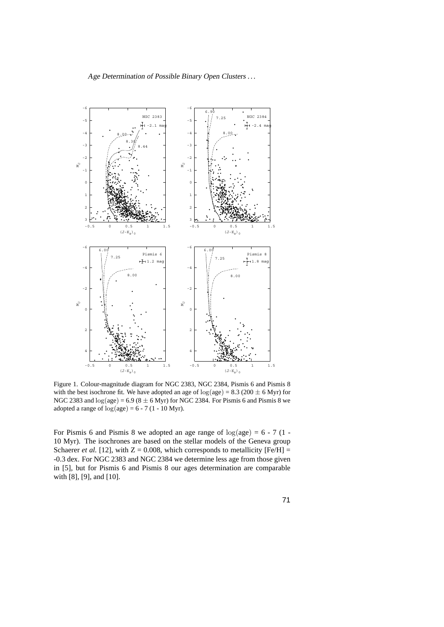Age Determination of Possible Binary Open Clusters ...



Figure 1. Colour-magnitude diagram for NGC 2383, NGC 2384, Pismis 6 and Pismis 8 with the best isochrone fit. We have adopted an age of  $log(age) = 8.3 (200 \pm 6$  Myr) for NGC 2383 and  $log(age) = 6.9 (8 \pm 6$  Myr) for NGC 2384. For Pismis 6 and Pismis 8 we adopted a range of  $log(age) = 6 - 7 (1 - 10 Myr)$ .

For Pismis 6 and Pismis 8 we adopted an age range of  $log(age) = 6 - 7 (1 -$ 10 Myr). The isochrones are based on the stellar models of the Geneva group Schaerer *et al.* [12], with  $Z = 0.008$ , which corresponds to metallicity [Fe/H] = -0.3 dex. For NGC 2383 and NGC 2384 we determine less age from those given in [5], but for Pismis 6 and Pismis 8 our ages determination are comparable with [8], [9], and [10].